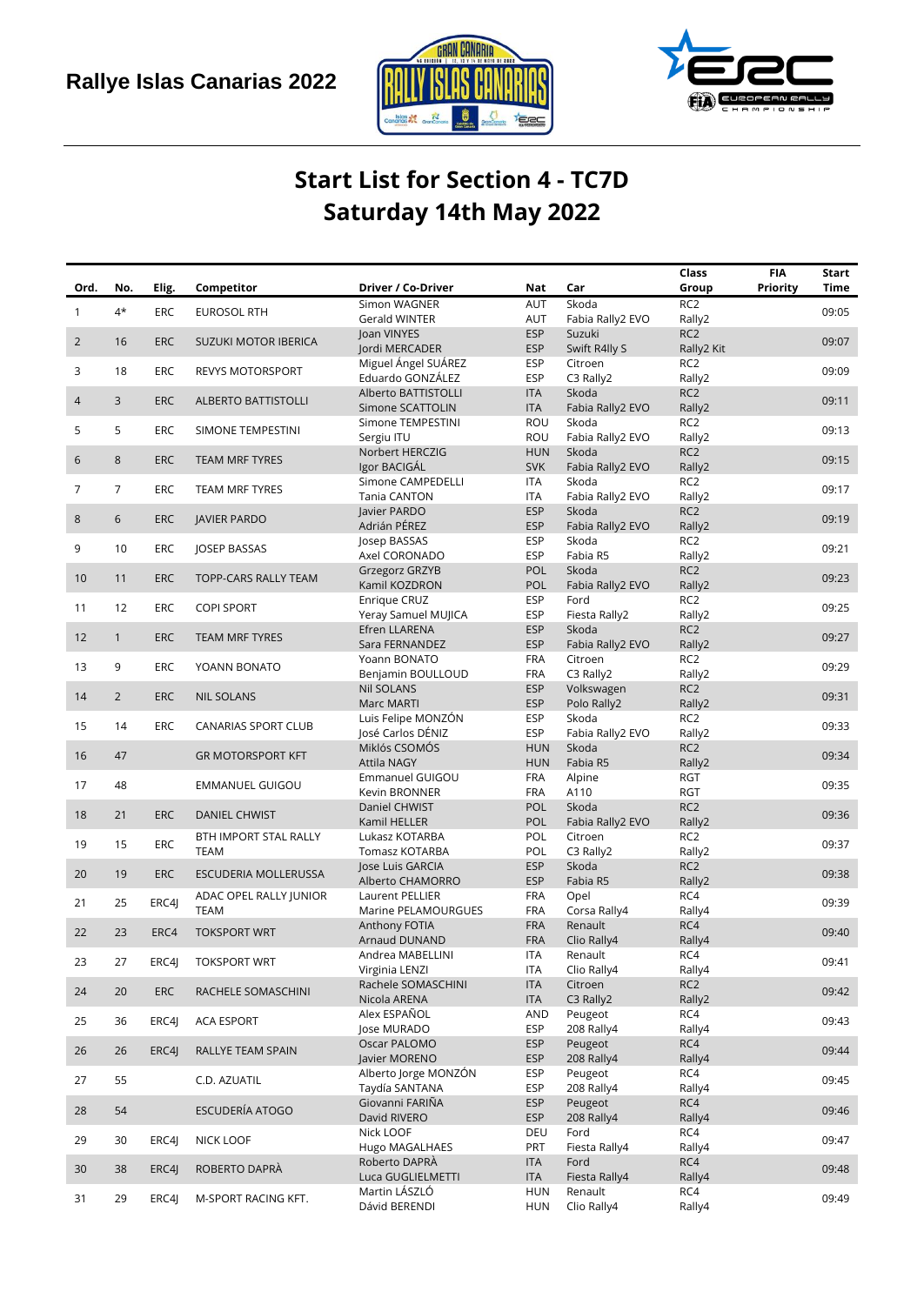



## **Start List for Section 4 - TC7D Saturday 14th May 2022**

|                |                |            |                                       |                                     |                          |                         | Class                         | <b>FIA</b>      | Start |
|----------------|----------------|------------|---------------------------------------|-------------------------------------|--------------------------|-------------------------|-------------------------------|-----------------|-------|
| Ord.           | No.            | Elig.      | Competitor                            | Driver / Co-Driver                  | Nat                      | Car                     | Group                         | <b>Priority</b> | Time  |
| $\mathbf{1}$   | 4*             | ERC        | <b>EUROSOL RTH</b>                    | Simon WAGNER                        | AUT                      | Skoda                   | RC <sub>2</sub>               |                 | 09:05 |
|                |                |            |                                       | Gerald WINTER                       | AUT                      | Fabia Rally2 EVO        | Rally2                        |                 |       |
| $\overline{2}$ | 16             | <b>ERC</b> | SUZUKI MOTOR IBERICA                  | Joan VINYES<br>Jordi MERCADER       | <b>ESP</b><br><b>ESP</b> | Suzuki<br>Swift R4lly S | RC <sub>2</sub><br>Rally2 Kit |                 | 09:07 |
|                |                |            |                                       | Miguel Ángel SUÁREZ                 | <b>ESP</b>               | Citroen                 | RC <sub>2</sub>               |                 |       |
| 3              | 18             | ERC        | <b>REVYS MOTORSPORT</b>               | Eduardo GONZÁLEZ                    | <b>ESP</b>               | C3 Rally2               | Rally2                        |                 | 09:09 |
|                |                |            |                                       | Alberto BATTISTOLLI                 | <b>ITA</b>               | Skoda                   | RC <sub>2</sub>               |                 |       |
| 4              | 3              | <b>ERC</b> | <b>ALBERTO BATTISTOLLI</b>            | Simone SCATTOLIN                    | <b>ITA</b>               | Fabia Rally2 EVO        | Rally2                        |                 | 09:11 |
|                |                |            |                                       | Simone TEMPESTINI                   | ROU                      | Skoda                   | RC <sub>2</sub>               |                 |       |
| 5              | 5              | ERC        | SIMONE TEMPESTINI                     | Sergiu ITU                          | ROU                      | Fabia Rally2 EVO        | Rally2                        |                 | 09:13 |
|                |                |            |                                       | Norbert HERCZIG                     | <b>HUN</b>               | Skoda                   | RC <sub>2</sub>               |                 |       |
| 6              | $\,8\,$        | <b>ERC</b> | <b>TEAM MRF TYRES</b>                 | Igor BACIGÁL                        | <b>SVK</b>               | Fabia Rally2 EVO        | Rally2                        |                 | 09:15 |
| 7              | $\overline{7}$ | ERC        | <b>TEAM MRF TYRES</b>                 | Simone CAMPEDELLI                   | ITA                      | Skoda                   | RC <sub>2</sub>               |                 | 09:17 |
|                |                |            |                                       | Tania CANTON                        | <b>ITA</b>               | Fabia Rally2 EVO        | Rally2                        |                 |       |
| 8              | 6              | <b>ERC</b> | <b>JAVIER PARDO</b>                   | Javier PARDO                        | <b>ESP</b>               | Skoda                   | RC <sub>2</sub>               |                 | 09:19 |
|                |                |            |                                       | Adrián PÉREZ                        | <b>ESP</b>               | Fabia Rally2 EVO        | Rally2                        |                 |       |
| 9              | 10             | ERC        | JOSEP BASSAS                          | Josep BASSAS                        | <b>ESP</b>               | Skoda                   | RC <sub>2</sub>               |                 | 09:21 |
|                |                |            |                                       | Axel CORONADO                       | <b>ESP</b>               | Fabia R5                | Rally2                        |                 |       |
| 10             | 11             | <b>ERC</b> | TOPP-CARS RALLY TEAM                  | Grzegorz GRZYB                      | POL                      | Skoda                   | RC <sub>2</sub>               |                 | 09:23 |
|                |                |            |                                       | Kamil KOZDRON                       | POL                      | Fabia Rally2 EVO        | Rally2                        |                 |       |
| 11             | 12             | <b>ERC</b> | <b>COPI SPORT</b>                     | Enrique CRUZ                        | ESP                      | Ford                    | RC <sub>2</sub>               |                 | 09:25 |
|                |                |            |                                       | Yeray Samuel MUJICA                 | <b>ESP</b><br><b>ESP</b> | Fiesta Rally2<br>Skoda  | Rally2<br>RC <sub>2</sub>     |                 |       |
| 12             | $\mathbf{1}$   | <b>ERC</b> | TEAM MRF TYRES                        | Efren LLARENA<br>Sara FERNANDEZ     | <b>ESP</b>               | Fabia Rally2 EVO        | Rally2                        |                 | 09:27 |
|                |                |            |                                       | Yoann BONATO                        | FRA                      | Citroen                 | RC <sub>2</sub>               |                 |       |
| 13             | 9              | ERC        | YOANN BONATO                          | Benjamin BOULLOUD                   | FRA                      | C3 Rally2               | Rally2                        |                 | 09:29 |
|                |                |            |                                       | <b>Nil SOLANS</b>                   | <b>ESP</b>               | Volkswagen              | RC <sub>2</sub>               |                 |       |
| 14             | $\overline{2}$ | <b>ERC</b> | <b>NIL SOLANS</b>                     | <b>Marc MARTI</b>                   | <b>ESP</b>               | Polo Rally2             | Rally2                        |                 | 09:31 |
|                |                |            |                                       | Luis Felipe MONZÓN                  | <b>ESP</b>               | Skoda                   | RC <sub>2</sub>               |                 |       |
| 15             | 14             | ERC        | <b>CANARIAS SPORT CLUB</b>            | José Carlos DÉNIZ                   | <b>ESP</b>               | Fabia Rally2 EVO        | Rally2                        |                 | 09:33 |
|                |                |            |                                       | Miklós CSOMÓS                       | <b>HUN</b>               | Skoda                   | RC <sub>2</sub>               |                 |       |
| 16             | 47             |            | <b>GR MOTORSPORT KFT</b>              | <b>Attila NAGY</b>                  | <b>HUN</b>               | Fabia R5                | Rally2                        |                 | 09:34 |
| 17             | 48             |            | EMMANUEL GUIGOU                       | Emmanuel GUIGOU                     | <b>FRA</b>               | Alpine                  | <b>RGT</b>                    |                 | 09:35 |
|                |                |            |                                       | Kevin BRONNER                       | <b>FRA</b>               | A110                    | <b>RGT</b>                    |                 |       |
| 18             | 21             | <b>ERC</b> | <b>DANIEL CHWIST</b>                  | Daniel CHWIST                       | POL                      | Skoda                   | RC <sub>2</sub>               |                 | 09:36 |
|                |                |            |                                       | Kamil HELLER                        | <b>POL</b>               | Fabia Rally2 EVO        | Rally2                        |                 |       |
| 19             | 15             | ERC        | BTH IMPORT STAL RALLY                 | Lukasz KOTARBA                      | POL                      | Citroen                 | RC <sub>2</sub>               |                 | 09:37 |
|                |                |            | <b>TEAM</b>                           | Tomasz KOTARBA                      | POL                      | C3 Rally2               | Rally2                        |                 |       |
| 20             | 19             | <b>ERC</b> | ESCUDERIA MOLLERUSSA                  | Jose Luis GARCIA                    | <b>ESP</b>               | Skoda                   | RC <sub>2</sub>               |                 | 09:38 |
|                |                |            |                                       | Alberto CHAMORRO<br>Laurent PELLIER | <b>ESP</b>               | Fabia R5                | Rally2<br>RC4                 |                 |       |
| 21             | 25             | ERC4J      | ADAC OPEL RALLY JUNIOR<br><b>TEAM</b> | Marine PELAMOURGUES                 | FRA<br><b>FRA</b>        | Opel<br>Corsa Rally4    | Rally4                        |                 | 09:39 |
|                |                |            |                                       | Anthony FOTIA                       | <b>FRA</b>               | Renault                 | RC4                           |                 |       |
| 22             | 23             | ERC4       | <b>TOKSPORT WRT</b>                   | Arnaud DUNAND                       | <b>FRA</b>               | Clio Rally4             | Rally4                        |                 | 09:40 |
|                |                |            |                                       | Andrea MABELLINI                    | <b>ITA</b>               | Renault                 | RC4                           |                 |       |
| 23             | 27             | ERC4J      | <b>TOKSPORT WRT</b>                   | Virginia LENZI                      | <b>ITA</b>               | Clio Rally4             | Rally4                        |                 | 09:41 |
|                |                |            |                                       | Rachele SOMASCHINI                  | <b>ITA</b>               | Citroen                 | RC <sub>2</sub>               |                 |       |
| 24             | 20             | <b>ERC</b> | RACHELE SOMASCHINI                    | Nicola ARENA                        | <b>ITA</b>               | C3 Rally2               | Rally2                        |                 | 09:42 |
|                | 36             |            |                                       | Alex ESPAÑOL                        | <b>AND</b>               | Peugeot                 | RC4                           |                 | 09:43 |
| 25             |                | ERC4J      | <b>ACA ESPORT</b>                     | Jose MURADO                         | <b>ESP</b>               | 208 Rally4              | Rally4                        |                 |       |
| 26             | 26             | ERC4I      | RALLYE TEAM SPAIN                     | Oscar PALOMO                        | <b>ESP</b>               | Peugeot                 | RC4                           |                 | 09:44 |
|                |                |            |                                       | Javier MORENO                       | <b>ESP</b>               | 208 Rally4              | Rally4                        |                 |       |
| 27             | 55             |            | C.D. AZUATIL                          | Alberto Jorge MONZÓN                | <b>ESP</b>               | Peugeot                 | RC4                           |                 | 09:45 |
|                |                |            |                                       | Taydía SANTANA                      | <b>ESP</b>               | 208 Rally4              | Rally4                        |                 |       |
| 28             | 54             |            | ESCUDERÍA ATOGO                       | Giovanni FARIÑA                     | <b>ESP</b>               | Peugeot                 | RC4                           |                 | 09:46 |
|                |                |            |                                       | David RIVERO                        | <b>ESP</b>               | 208 Rally4              | Rally4                        |                 |       |
| 29             | 30             | ERC4J      | NICK LOOF                             | Nick LOOF                           | DEU<br><b>PRT</b>        | Ford                    | RC4<br>Rally4                 |                 | 09:47 |
|                |                |            |                                       | Hugo MAGALHAES<br>Roberto DAPRÀ     | <b>ITA</b>               | Fiesta Rally4<br>Ford   | RC4                           |                 |       |
| 30             | 38             | ERC4J      | ROBERTO DAPRÀ                         | Luca GUGLIELMETTI                   | <b>ITA</b>               | Fiesta Rally4           | Rally4                        |                 | 09:48 |
|                |                |            |                                       | Martin LÁSZLÓ                       | <b>HUN</b>               | Renault                 | RC4                           |                 |       |
| 31             | 29             | ERC4J      | M-SPORT RACING KFT.                   | Dávid BERENDI                       | <b>HUN</b>               | Clio Rally4             | Rally4                        |                 | 09:49 |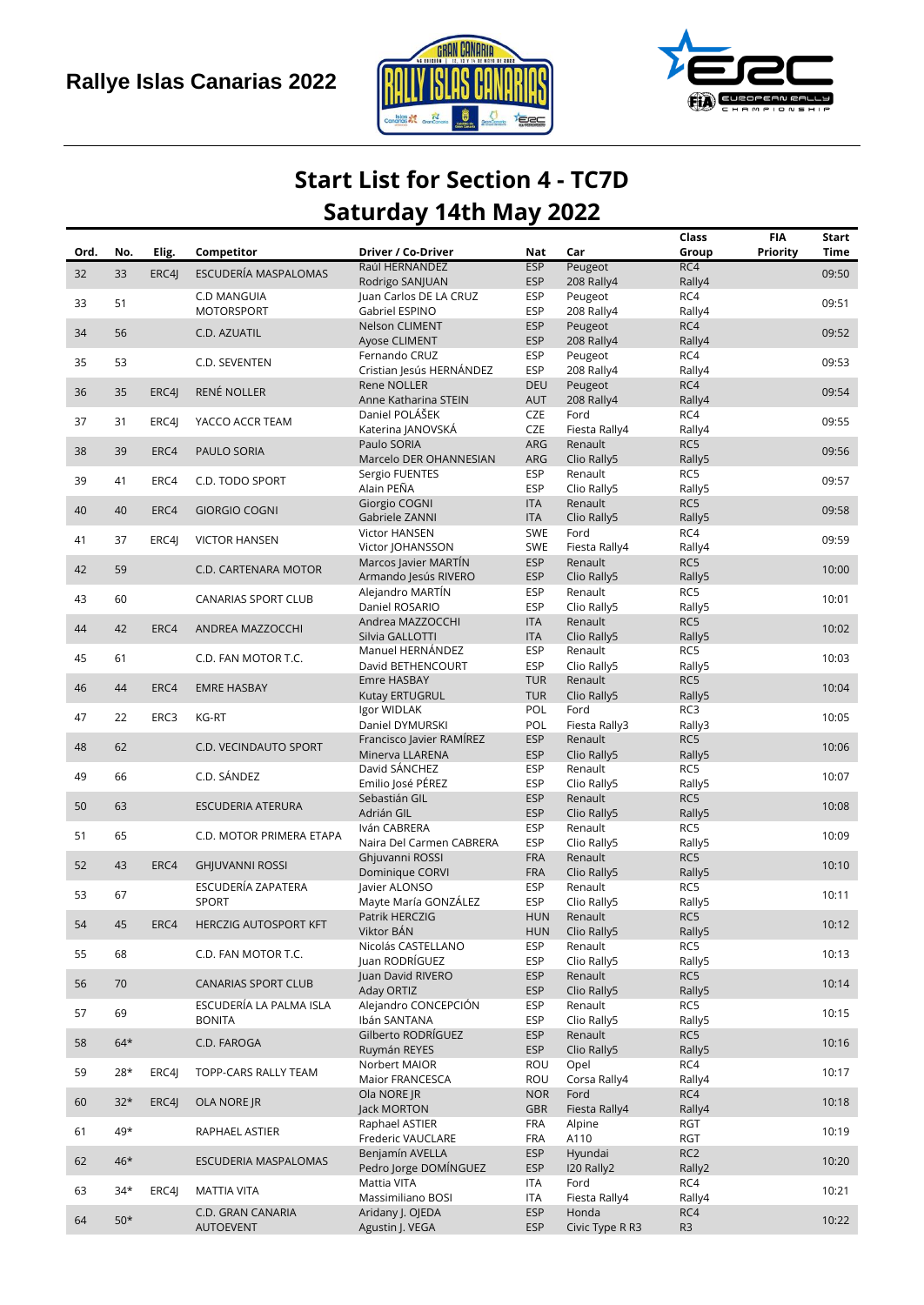



## **Start List for Section 4 - TC7D Saturday 14th May 2022**

| Ord. | No.   |       | Competitor                            | Driver / Co-Driver                        | Nat                      | Car                      | Class<br>Group  | <b>FIA</b><br>Priority | Start<br>Time |
|------|-------|-------|---------------------------------------|-------------------------------------------|--------------------------|--------------------------|-----------------|------------------------|---------------|
|      |       | Elig. |                                       | Raúl HERNÁNDEZ                            | <b>ESP</b>               | Peugeot                  | RC4             |                        |               |
| 32   | 33    | ERC4J | ESCUDERÍA MASPALOMAS                  | Rodrigo SANJUAN                           | <b>ESP</b>               | 208 Rally4               | Rally4          |                        | 09:50         |
|      | 51    |       | C.D MANGUIA                           | Juan Carlos DE LA CRUZ                    | <b>ESP</b>               | Peugeot                  | RC4             |                        |               |
| 33   |       |       | <b>MOTORSPORT</b>                     | Gabriel ESPINO                            | <b>ESP</b>               | 208 Rally4               | Rally4          |                        | 09:51         |
| 34   | 56    |       | C.D. AZUATIL                          | Nelson CLIMENT                            | <b>ESP</b>               | Peugeot                  | RC4             |                        | 09:52         |
|      |       |       |                                       | Ayose CLIMENT                             | <b>ESP</b>               | 208 Rally4               | Rally4          |                        |               |
| 35   | 53    |       | C.D. SEVENTEN                         | Fernando CRUZ<br>Cristian Jesús HERNÁNDEZ | <b>ESP</b><br><b>ESP</b> | Peugeot<br>208 Rally4    | RC4<br>Rally4   |                        | 09:53         |
|      |       |       |                                       | Rene NOLLER                               | <b>DEU</b>               | Peugeot                  | RC4             |                        |               |
| 36   | 35    | ERC4J | <b>RENÉ NOLLER</b>                    | Anne Katharina STEIN                      | <b>AUT</b>               | 208 Rally4               | Rally4          |                        | 09:54         |
|      |       |       | YACCO ACCR TEAM                       | Daniel POLÁŠEK                            | CZE                      | Ford                     | RC4             |                        |               |
| 37   | 31    | ERC4J |                                       | Katerina JANOVSKÁ                         | CZE                      | Fiesta Rally4            | Rally4          |                        | 09:55         |
| 38   | 39    | ERC4  | PAULO SORIA                           | Paulo SORIA                               | ARG                      | Renault                  | RC5             |                        | 09:56         |
|      |       |       |                                       | Marcelo DER OHANNESIAN                    | ARG                      | Clio Rally5              | Rally5<br>RC5   |                        |               |
| 39   | 41    | ERC4  | C.D. TODO SPORT                       | Sergio FUENTES<br>Alain PEÑA              | <b>ESP</b><br><b>ESP</b> | Renault<br>Clio Rally5   | Rally5          |                        | 09:57         |
|      |       |       |                                       | Giorgio COGNI                             | <b>ITA</b>               | Renault                  | RC5             |                        |               |
| 40   | 40    | ERC4  | <b>GIORGIO COGNI</b>                  | Gabriele ZANNI                            | <b>ITA</b>               | Clio Rally5              | Rally5          |                        | 09:58         |
| 41   | 37    | ERC4J | <b>VICTOR HANSEN</b>                  | Victor HANSEN                             | SWE                      | Ford                     | RC4             |                        | 09:59         |
|      |       |       |                                       | Victor JOHANSSON                          | <b>SWE</b>               | Fiesta Rally4            | Rally4          |                        |               |
| 42   | 59    |       | C.D. CARTENARA MOTOR                  | Marcos Javier MARTIN                      | <b>ESP</b>               | Renault                  | RC5             |                        | 10:00         |
|      |       |       |                                       | Armando Jesús RIVERO<br>Alejandro MARTÍN  | <b>ESP</b><br><b>ESP</b> | Clio Rally5<br>Renault   | Rally5<br>RC5   |                        |               |
| 43   | 60    |       | <b>CANARIAS SPORT CLUB</b>            | Daniel ROSARIO                            | <b>ESP</b>               | Clio Rally5              | Rally5          |                        | 10:01         |
|      |       |       |                                       | Andrea MAZZOCCHI                          | <b>ITA</b>               | Renault                  | RC5             |                        |               |
| 44   | 42    | ERC4  | ANDREA MAZZOCCHI                      | Silvia GALLOTTI                           | <b>ITA</b>               | Clio Rally5              | Rally5          |                        | 10:02         |
| 45   | 61    |       | C.D. FAN MOTOR T.C.                   | Manuel HERNÁNDEZ                          | <b>ESP</b>               | Renault                  | RC5             |                        | 10:03         |
|      |       |       |                                       | David BETHENCOURT                         | <b>ESP</b>               | Clio Rally5              | Rally5          |                        |               |
| 46   | 44    | ERC4  | <b>EMRE HASBAY</b>                    | Emre HASBAY                               | <b>TUR</b><br><b>TUR</b> | Renault                  | RC5             |                        | 10:04         |
|      |       |       |                                       | Kutay ERTUGRUL<br>Igor WIDLAK             | POL                      | Clio Rally5<br>Ford      | Rally5<br>RC3   |                        |               |
| 47   | 22    | ERC3  | KG-RT                                 | Daniel DYMURSKI                           | POL                      | Fiesta Rally3            | Rally3          |                        | 10:05         |
| 48   | 62    |       | C.D. VECINDAUTO SPORT                 | Francisco Javier RAMÍREZ                  | <b>ESP</b>               | Renault                  | RC5             |                        | 10:06         |
|      |       |       |                                       | Minerva LLARENA                           | <b>ESP</b>               | Clio Rally5              | Rally5          |                        |               |
| 49   | 66    |       | C.D. SÁNDEZ                           | David SÁNCHEZ                             | <b>ESP</b>               | Renault                  | RC5             |                        | 10:07         |
|      |       |       |                                       | Emilio José PÉREZ                         | <b>ESP</b>               | Clio Rally5              | Rally5          |                        |               |
| 50   | 63    |       | <b>ESCUDERIA ATERURA</b>              | Sebastián GIL<br>Adrián GIL               | <b>ESP</b><br><b>ESP</b> | Renault<br>Clio Rally5   | RC5<br>Rally5   |                        | 10:08         |
|      |       |       |                                       | Iván CABRERA                              | <b>ESP</b>               | Renault                  | RC5             |                        |               |
| 51   | 65    |       | C.D. MOTOR PRIMERA ETAPA              | Naira Del Carmen CABRERA                  | <b>ESP</b>               | Clio Rally5              | Rally5          |                        | 10:09         |
| 52   | 43    | ERC4  | <b>GHJUVANNI ROSSI</b>                | Ghjuvanni ROSSI                           | <b>FRA</b>               | Renault                  | RC5             |                        | 10:10         |
|      |       |       |                                       | Dominique CORVI                           | <b>FRA</b>               | Clio Rally5              | Rally5          |                        |               |
| 53   | 67    |       | ESCUDERÍA ZAPATERA                    | Javier ALONSO                             | <b>ESP</b>               | Renault                  | RC5             |                        | 10:11         |
|      |       |       | <b>SPORT</b>                          | Mayte María GONZÁLEZ<br>Patrik HERCZIG    | <b>ESP</b><br><b>HUN</b> | Clio Rally5<br>Renault   | Rally5<br>RC5   |                        |               |
| 54   | 45    | ERC4  | <b>HERCZIG AUTOSPORT KFT</b>          | Viktor BÁN                                | <b>HUN</b>               | Clio Rally5              | Rally5          |                        | 10:12         |
|      |       |       |                                       | Nicolás CASTELLANO                        | <b>ESP</b>               | Renault                  | RC5             |                        |               |
| 55   | 68    |       | C.D. FAN MOTOR T.C.                   | Juan RODRÍGUEZ                            | <b>ESP</b>               | Clio Rally5              | Rally5          |                        | 10:13         |
| 56   | 70    |       | <b>CANARIAS SPORT CLUB</b>            | Juan David RIVERO                         | <b>ESP</b>               | Renault                  | RC5             |                        | 10:14         |
|      |       |       | ESCUDERÍA LA PALMA ISLA               | Aday ORTIZ<br>Alejandro CONCEPCIÓN        | <b>ESP</b><br><b>ESP</b> | Clio Rally5<br>Renault   | Rally5<br>RC5   |                        |               |
| 57   | 69    |       | <b>BONITA</b>                         | Ibán SANTANA                              | <b>ESP</b>               | Clio Rally5              | Rally5          |                        | 10:15         |
|      |       |       |                                       | Gilberto RODRÍGUEZ                        | <b>ESP</b>               | Renault                  | RC5             |                        |               |
| 58   | $64*$ |       | C.D. FAROGA                           | Ruymán REYES                              | <b>ESP</b>               | Clio Rally5              | Rally5          |                        | 10:16         |
| 59   | 28*   | ERC4J | TOPP-CARS RALLY TEAM                  | Norbert MAIOR                             | ROU                      | Opel                     | RC4             |                        | 10:17         |
|      |       |       |                                       | Maior FRANCESCA                           | ROU                      | Corsa Rally4             | Rally4          |                        |               |
| 60   | $32*$ | ERC4J | OLA NORE JR                           | Ola NORE JR                               | <b>NOR</b>               | Ford                     | RC4             |                        | 10:18         |
|      |       |       |                                       | Jack MORTON<br>Raphael ASTIER             | <b>GBR</b><br><b>FRA</b> | Fiesta Rally4<br>Alpine  | Rally4<br>RGT   |                        |               |
| 61   | 49*   |       | RAPHAEL ASTIER                        | Frederic VAUCLARE                         | <b>FRA</b>               | A110                     | <b>RGT</b>      |                        | 10:19         |
|      |       |       |                                       | Benjamín AVELLA                           | <b>ESP</b>               | Hyundai                  | RC <sub>2</sub> |                        |               |
| 62   | $46*$ |       | ESCUDERIA MASPALOMAS                  | Pedro Jorge DOMÍNGUEZ                     | <b>ESP</b>               | I20 Rally2               | Rally2          |                        | 10:20         |
| 63   | 34*   | ERC4J | <b>MATTIA VITA</b>                    | Mattia VITA                               | ITA                      | Ford                     | RC4             |                        | 10:21         |
|      |       |       |                                       | Massimiliano BOSI                         | <b>ITA</b>               | Fiesta Rally4            | Rally4          |                        |               |
| 64   | $50*$ |       | C.D. GRAN CANARIA<br><b>AUTOEVENT</b> | Aridany J. OJEDA<br>Agustin J. VEGA       | <b>ESP</b><br><b>ESP</b> | Honda<br>Civic Type R R3 | RC4<br>R3       |                        | 10:22         |
|      |       |       |                                       |                                           |                          |                          |                 |                        |               |